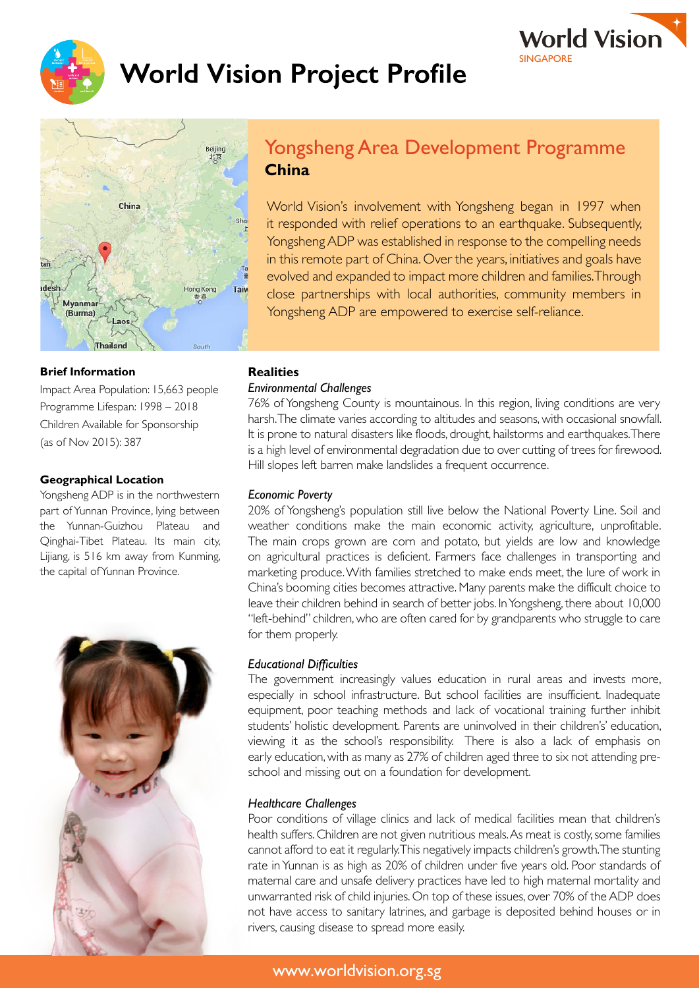

# **Vorld Vision Project Profile**





# Yongsheng Area Development Programme **China**

World Vision's involvement with Yongsheng began in 1997 when it responded with relief operations to an earthquake. Subsequently, YongshengADP was established in response to the compelling needs in this remote part of China. Over the years, initiatives and goals have evolved and expanded to impact more children and families.Through close partnerships with local authorities, community members in Yongsheng ADP are empowered to exercise self-reliance.

#### **Brief Information**

Impact Area Population: 15,663 people Programme Lifespan: 1998 – 2018 Children Available for Sponsorship (as of Nov 2015): 387

### **Geographical Location**

Yongsheng ADP is in the northwestern part of Yunnan Province, lying between the Yunnan-Guizhou Plateau and Qinghai-Tibet Plateau. Its main city, Lijiang, is 516 km away from Kunming, the capital ofYunnan Province.



## **Realities**

#### *Environmental Challenges*

76% of Yongsheng County is mountainous. In this region, living conditions are very harsh.The climate varies according to altitudes and seasons, with occasional snowfall. It is prone to natural disasters like floods, drought, hailstorms and earthquakes.There is a high level of environmental degradation due to over cutting of trees for firewood. Hill slopes left barren make landslides a frequent occurrence.

#### *Economic Poverty*

20% of Yongsheng's population still live below the National Poverty Line. Soil and weather conditions make the main economic activity, agriculture, unprofitable. The main crops grown are corn and potato, but yields are low and knowledge on agricultural practices is deficient. Farmers face challenges in transporting and marketing produce.With families stretched to make ends meet, the lure of work in China's booming cities becomes attractive. Many parents make the difficult choice to leave their children behind in search of better jobs. In Yongsheng, there about 10,000 "left-behind" children, who are often cared for by grandparents who struggle to care for them properly.

#### **Educational Difficulties**

The government increasingly values education in rural areas and invests more, especially in school infrastructure. But school facilities are insufficient. Inadequate equipment, poor teaching methods and lack of vocational training further inhibit students' holistic development. Parents are uninvolved in their children's' education, viewing it as the school's responsibility. There is also a lack of emphasis on early education, with as many as 27% of children aged three to six not attending preschool and missing out on a foundation for development.

#### *Healthcare Challenges*

Poor conditions of village clinics and lack of medical facilities mean that children's health suffers.Children are not given nutritious meals.As meat is costly,some families cannot afford to eat it regularly.This negatively impacts children's growth.The stunting rate in Yunnan is as high as 20% of children under five years old. Poor standards of maternal care and unsafe delivery practices have led to high maternal mortality and unwarranted risk of child injuries. On top of these issues, over 70% of the ADP does not have access to sanitary latrines, and garbage is deposited behind houses or in rivers, causing disease to spread more easily.